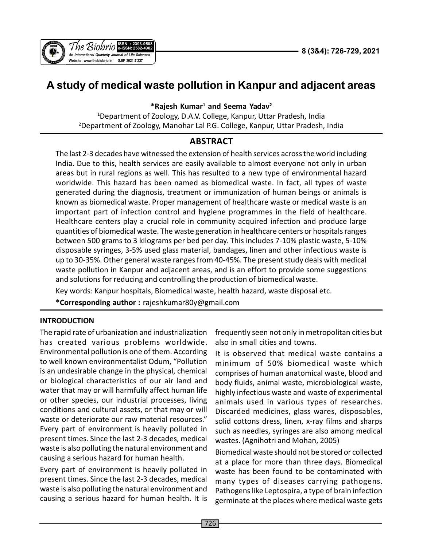

# **A study of medical waste pollution in Kanpur and adjacent areas**

**\*Rajesh Kumar<sup>1</sup> and Seema Yadav<sup>2</sup>**

<sup>1</sup>Department of Zoology, D.A.V. College, Kanpur, Uttar Pradesh, India <sup>2</sup>Department of Zoology, Manohar Lal P.G. College, Kanpur, Uttar Pradesh, India

# **ABSTRACT**

The last 2-3 decades have witnessed the extension of health services across the world including India. Due to this, health services are easily available to almost everyone not only in urban areas but in rural regions as well. This has resulted to a new type of environmental hazard worldwide. This hazard has been named as biomedical waste. In fact, all types of waste generated during the diagnosis, treatment or immunization of human beings or animals is known as biomedical waste. Proper management of healthcare waste or medical waste is an important part of infection control and hygiene programmes in the field of healthcare. Healthcare centers play a crucial role in community acquired infection and produce large quantities of biomedical waste. The waste generation in healthcare centers or hospitals ranges between 500 grams to 3 kilograms per bed per day. This includes 7-10% plastic waste, 5-10% disposable syringes, 3-5% used glass material, bandages, linen and other infectious waste is up to 30-35%. Other general waste ranges from 40-45%. The present study deals with medical waste pollution in Kanpur and adjacent areas, and is an effort to provide some suggestions and solutions for reducing and controlling the production of biomedical waste.

Key words: Kanpur hospitals, Biomedical waste, health hazard, waste disposal etc.

**\*Corresponding author :** rajeshkumar80y@gmail.com

#### **INTRODUCTION**

The rapid rate of urbanization and industrialization has created various problems worldwide. Environmental pollution is one of them. According to well known environmentalist Odum, "Pollution is an undesirable change in the physical, chemical or biological characteristics of our air land and water that may or will harmfully affect human life or other species, our industrial processes, living conditions and cultural assets, or that may or will waste or deteriorate our raw material resources." Every part of environment is heavily polluted in present times. Since the last 2-3 decades, medical waste is also polluting the natural environment and causing a serious hazard for human health.

Every part of environment is heavily polluted in present times. Since the last 2-3 decades, medical waste is also polluting the natural environment and causing a serious hazard for human health. It is

frequently seen not only in metropolitan cities but also in small cities and towns.

It is observed that medical waste contains a minimum of 50% biomedical waste which comprises of human anatomical waste, blood and body fluids, animal waste, microbiological waste, highly infectious waste and waste of experimental animals used in various types of researches. Discarded medicines, glass wares, disposables, solid cottons dress, linen, x-ray films and sharps such as needles, syringes are also among medical wastes. (Agnihotri and Mohan, 2005)

Biomedical waste should not be stored or collected at a place for more than three days. Biomedical waste has been found to be contaminated with many types of diseases carrying pathogens. Pathogens like Leptospira, a type of brain infection germinate at the places where medical waste gets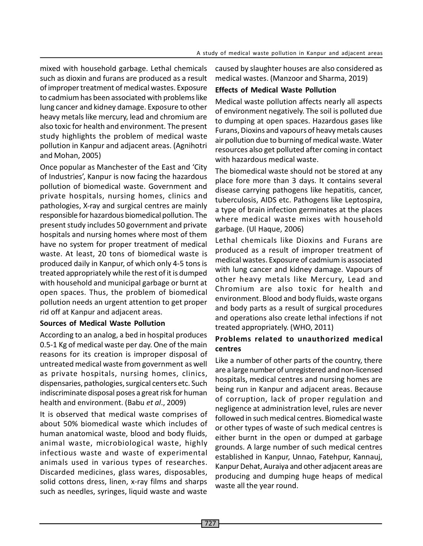mixed with household garbage. Lethal chemicals such as dioxin and furans are produced as a result of improper treatment of medical wastes. Exposure to cadmium has been associated with problems like lung cancer and kidney damage. Exposure to other heavy metals like mercury, lead and chromium are also toxic for health and environment. The present study highlights the problem of medical waste pollution in Kanpur and adjacent areas. (Agnihotri and Mohan, 2005)

Once popular as Manchester of the East and 'City of Industries', Kanpur is now facing the hazardous pollution of biomedical waste. Government and private hospitals, nursing homes, clinics and pathologies, X-ray and surgical centres are mainly responsible for hazardous biomedical pollution. The present study includes 50 government and private hospitals and nursing homes where most of them have no system for proper treatment of medical waste. At least, 20 tons of biomedical waste is produced daily in Kanpur, of which only 4-5 tons is treated appropriately while the rest of it is dumped with household and municipal garbage or burnt at open spaces. Thus, the problem of biomedical pollution needs an urgent attention to get proper rid off at Kanpur and adjacent areas.

#### **Sources of Medical Waste Pollution**

According to an analog, a bed in hospital produces 0.5-1 Kg of medical waste per day. One of the main reasons for its creation is improper disposal of untreated medical waste from government as well as private hospitals, nursing homes, clinics, dispensaries, pathologies, surgical centers etc. Such indiscriminate disposal poses a great risk for human health and environment. (Babu *et al*., 2009)

It is observed that medical waste comprises of about 50% biomedical waste which includes of human anatomical waste, blood and body fluids, animal waste, microbiological waste, highly infectious waste and waste of experimental animals used in various types of researches. Discarded medicines, glass wares, disposables, solid cottons dress, linen, x-ray films and sharps such as needles, syringes, liquid waste and waste

caused by slaughter houses are also considered as medical wastes. (Manzoor and Sharma, 2019)

### **Effects of Medical Waste Pollution**

Medical waste pollution affects nearly all aspects of environment negatively. The soil is polluted due to dumping at open spaces. Hazardous gases like Furans, Dioxins and vapours of heavy metals causes air pollution due to burning of medical waste. Water resources also get polluted after coming in contact with hazardous medical waste.

The biomedical waste should not be stored at any place fore more than 3 days. It contains several disease carrying pathogens like hepatitis, cancer, tuberculosis, AIDS etc. Pathogens like Leptospira, a type of brain infection germinates at the places where medical waste mixes with household garbage. (Ul Haque, 2006)

Lethal chemicals like Dioxins and Furans are produced as a result of improper treatment of medical wastes. Exposure of cadmium is associated with lung cancer and kidney damage. Vapours of other heavy metals like Mercury, Lead and Chromium are also toxic for health and environment. Blood and body fluids, waste organs and body parts as a result of surgical procedures and operations also create lethal infections if not treated appropriately. (WHO, 2011)

# **Problems related to unauthorized medical centres**

Like a number of other parts of the country, there are a large number of unregistered and non-licensed hospitals, medical centres and nursing homes are being run in Kanpur and adjacent areas. Because of corruption, lack of proper regulation and negligence at administration level, rules are never followed in such medical centres. Biomedical waste or other types of waste of such medical centres is either burnt in the open or dumped at garbage grounds. A large number of such medical centres established in Kanpur, Unnao, Fatehpur, Kannauj, Kanpur Dehat, Auraiya and other adjacent areas are producing and dumping huge heaps of medical waste all the year round.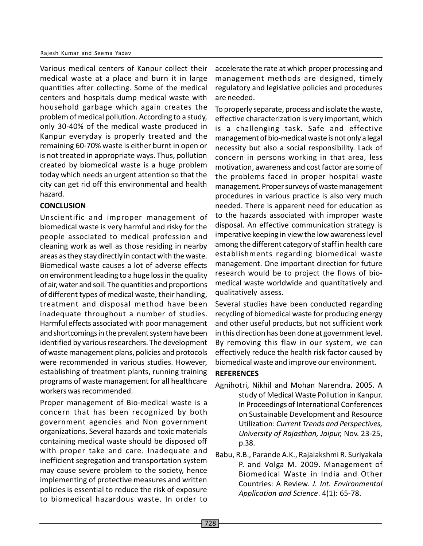Various medical centers of Kanpur collect their medical waste at a place and burn it in large quantities after collecting. Some of the medical centers and hospitals dump medical waste with household garbage which again creates the problem of medical pollution. According to a study, only 30-40% of the medical waste produced in Kanpur everyday is properly treated and the remaining 60-70% waste is either burnt in open or is not treated in appropriate ways. Thus, pollution created by biomedical waste is a huge problem today which needs an urgent attention so that the city can get rid off this environmental and health hazard.

#### **CONCLUSION**

Unscientific and improper management of biomedical waste is very harmful and risky for the people associated to medical profession and cleaning work as well as those residing in nearby areas as they stay directly in contact with the waste. Biomedical waste causes a lot of adverse effects on environment leading to a huge loss in the quality of air, water and soil. The quantities and proportions of different types of medical waste, their handling, treatment and disposal method have been inadequate throughout a number of studies. Harmful effects associated with poor management and shortcomings in the prevalent system have been identified by various researchers. The development of waste management plans, policies and protocols were recommended in various studies. However, establishing of treatment plants, running training programs of waste management for all healthcare workers was recommended.

Proper management of Bio-medical waste is a concern that has been recognized by both government agencies and Non government organizations. Several hazards and toxic materials containing medical waste should be disposed off with proper take and care. Inadequate and inefficient segregation and transportation system may cause severe problem to the society, hence implementing of protective measures and written policies is essential to reduce the risk of exposure to biomedical hazardous waste. In order to

accelerate the rate at which proper processing and management methods are designed, timely regulatory and legislative policies and procedures are needed.

To properly separate, process and isolate the waste, effective characterization is very important, which is a challenging task. Safe and effective management of bio-medical waste is not only a legal necessity but also a social responsibility. Lack of concern in persons working in that area, less motivation, awareness and cost factor are some of the problems faced in proper hospital waste management. Proper surveys of waste management procedures in various practice is also very much needed. There is apparent need for education as to the hazards associated with improper waste disposal. An effective communication strategy is imperative keeping in view the low awareness level among the different category of staff in health care establishments regarding biomedical waste management. One important direction for future research would be to project the flows of biomedical waste worldwide and quantitatively and qualitatively assess.

Several studies have been conducted regarding recycling of biomedical waste for producing energy and other useful products, but not sufficient work in this direction has been done at government level. By removing this flaw in our system, we can effectively reduce the health risk factor caused by biomedical waste and improve our environment.

#### **REFERENCES**

- Agnihotri, Nikhil and Mohan Narendra. 2005. A study of Medical Waste Pollution in Kanpur. In Proceedings of International Conferences on Sustainable Development and Resource Utilization: *Current Trends and Perspectives, University of Rajasthan, Jaipur,* Nov. 23-25, p.38.
- Babu, R.B., Parande A.K., Rajalakshmi R. Suriyakala P. and Volga M. 2009. Management of Biomedical Waste in India and Other Countries: A Review. *J. Int. Environmental Application and Science*. 4(1): 65-78.